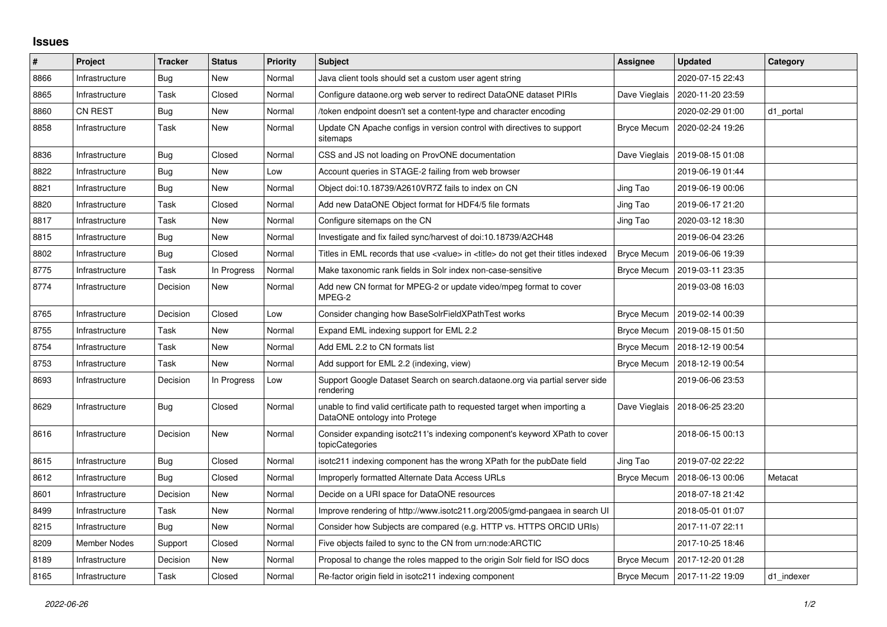## **Issues**

| $\sharp$ | Project        | <b>Tracker</b> | <b>Status</b> | <b>Priority</b> | <b>Subject</b>                                                                                              | Assignee           | <b>Updated</b>   | Category   |
|----------|----------------|----------------|---------------|-----------------|-------------------------------------------------------------------------------------------------------------|--------------------|------------------|------------|
| 8866     | Infrastructure | Bug            | New           | Normal          | Java client tools should set a custom user agent string                                                     |                    | 2020-07-15 22:43 |            |
| 8865     | Infrastructure | Task           | Closed        | Normal          | Configure dataone.org web server to redirect DataONE dataset PIRIs                                          | Dave Vieglais      | 2020-11-20 23:59 |            |
| 8860     | <b>CN REST</b> | Bug            | New           | Normal          | token endpoint doesn't set a content-type and character encoding                                            |                    | 2020-02-29 01:00 | d1 portal  |
| 8858     | Infrastructure | Task           | New           | Normal          | Update CN Apache configs in version control with directives to support<br>sitemaps                          | Bryce Mecum        | 2020-02-24 19:26 |            |
| 8836     | Infrastructure | Bug            | Closed        | Normal          | CSS and JS not loading on ProvONE documentation                                                             | Dave Vieglais      | 2019-08-15 01:08 |            |
| 8822     | Infrastructure | Bug            | New           | Low             | Account queries in STAGE-2 failing from web browser                                                         |                    | 2019-06-19 01:44 |            |
| 8821     | Infrastructure | Bug            | New           | Normal          | Object doi:10.18739/A2610VR7Z fails to index on CN                                                          | Jing Tao           | 2019-06-19 00:06 |            |
| 8820     | Infrastructure | Task           | Closed        | Normal          | Add new DataONE Object format for HDF4/5 file formats                                                       | Jing Tao           | 2019-06-17 21:20 |            |
| 8817     | Infrastructure | Task           | New           | Normal          | Configure sitemaps on the CN                                                                                | Jing Tao           | 2020-03-12 18:30 |            |
| 8815     | Infrastructure | Bug            | New           | Normal          | Investigate and fix failed sync/harvest of doi:10.18739/A2CH48                                              |                    | 2019-06-04 23:26 |            |
| 8802     | Infrastructure | Bug            | Closed        | Normal          | Titles in EML records that use <value> in <title> do not get their titles indexed</title></value>           | <b>Bryce Mecum</b> | 2019-06-06 19:39 |            |
| 8775     | Infrastructure | Task           | In Progress   | Normal          | Make taxonomic rank fields in Solr index non-case-sensitive                                                 | Bryce Mecum        | 2019-03-11 23:35 |            |
| 8774     | Infrastructure | Decision       | New           | Normal          | Add new CN format for MPEG-2 or update video/mpeg format to cover<br>MPEG-2                                 |                    | 2019-03-08 16:03 |            |
| 8765     | Infrastructure | Decision       | Closed        | Low             | Consider changing how BaseSolrFieldXPathTest works                                                          | Bryce Mecum        | 2019-02-14 00:39 |            |
| 8755     | Infrastructure | Task           | New           | Normal          | Expand EML indexing support for EML 2.2                                                                     | <b>Bryce Mecum</b> | 2019-08-15 01:50 |            |
| 8754     | Infrastructure | Task           | New           | Normal          | Add EML 2.2 to CN formats list                                                                              | <b>Bryce Mecum</b> | 2018-12-19 00:54 |            |
| 8753     | Infrastructure | Task           | New           | Normal          | Add support for EML 2.2 (indexing, view)                                                                    | <b>Bryce Mecum</b> | 2018-12-19 00:54 |            |
| 8693     | Infrastructure | Decision       | In Progress   | Low             | Support Google Dataset Search on search dataone org via partial server side<br>rendering                    |                    | 2019-06-06 23:53 |            |
| 8629     | Infrastructure | Bug            | Closed        | Normal          | unable to find valid certificate path to requested target when importing a<br>DataONE ontology into Protege | Dave Vieglais      | 2018-06-25 23:20 |            |
| 8616     | Infrastructure | Decision       | New           | Normal          | Consider expanding isotc211's indexing component's keyword XPath to cover<br>topicCategories                |                    | 2018-06-15 00:13 |            |
| 8615     | Infrastructure | <b>Bug</b>     | Closed        | Normal          | isotc211 indexing component has the wrong XPath for the pubDate field                                       | Jing Tao           | 2019-07-02 22:22 |            |
| 8612     | Infrastructure | Bug            | Closed        | Normal          | Improperly formatted Alternate Data Access URLs                                                             | Bryce Mecum        | 2018-06-13 00:06 | Metacat    |
| 8601     | Infrastructure | Decision       | New           | Normal          | Decide on a URI space for DataONE resources                                                                 |                    | 2018-07-18 21:42 |            |
| 8499     | Infrastructure | Task           | New           | Normal          | Improve rendering of http://www.isotc211.org/2005/gmd-pangaea in search UI                                  |                    | 2018-05-01 01:07 |            |
| 8215     | Infrastructure | Bug            | New           | Normal          | Consider how Subjects are compared (e.g. HTTP vs. HTTPS ORCID URIs)                                         |                    | 2017-11-07 22:11 |            |
| 8209     | Member Nodes   | Support        | Closed        | Normal          | Five objects failed to sync to the CN from urn:node:ARCTIC                                                  |                    | 2017-10-25 18:46 |            |
| 8189     | Infrastructure | Decision       | New           | Normal          | Proposal to change the roles mapped to the origin Solr field for ISO docs                                   | Bryce Mecum        | 2017-12-20 01:28 |            |
| 8165     | Infrastructure | Task           | Closed        | Normal          | Re-factor origin field in isotc211 indexing component                                                       | <b>Bryce Mecum</b> | 2017-11-22 19:09 | d1 indexer |